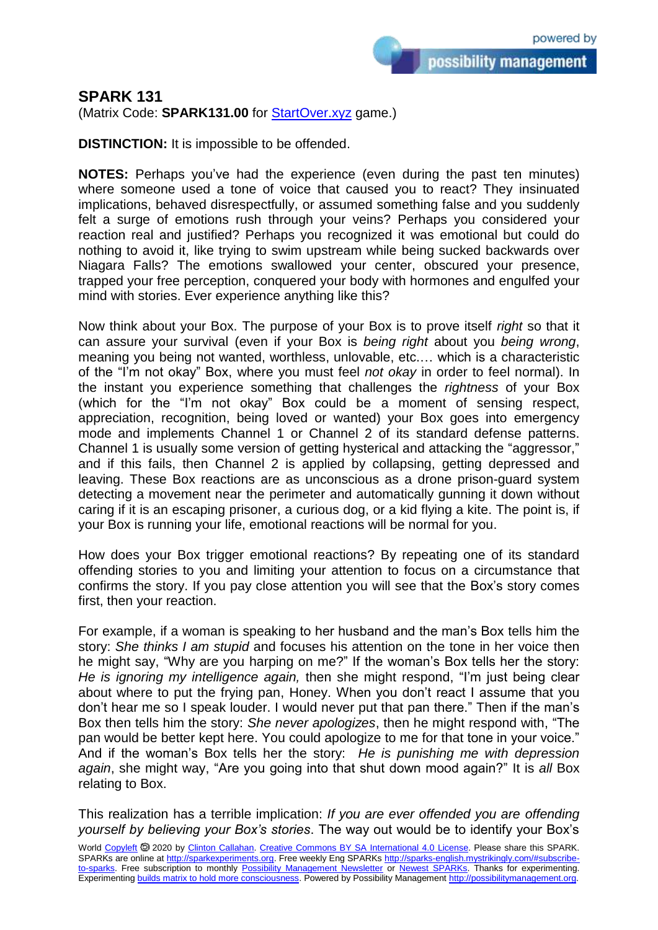possibility management

## **SPARK 131**

(Matrix Code: **SPARK131.00** for **StartOver.xyz** game.)

**DISTINCTION:** It is impossible to be offended.

**NOTES:** Perhaps you've had the experience (even during the past ten minutes) where someone used a tone of voice that caused you to react? They insinuated implications, behaved disrespectfully, or assumed something false and you suddenly felt a surge of emotions rush through your veins? Perhaps you considered your reaction real and justified? Perhaps you recognized it was emotional but could do nothing to avoid it, like trying to swim upstream while being sucked backwards over Niagara Falls? The emotions swallowed your center, obscured your presence, trapped your free perception, conquered your body with hormones and engulfed your mind with stories. Ever experience anything like this?

Now think about your Box. The purpose of your Box is to prove itself *right* so that it can assure your survival (even if your Box is *being right* about you *being wrong*, meaning you being not wanted, worthless, unlovable, etc.… which is a characteristic of the "I'm not okay" Box, where you must feel *not okay* in order to feel normal). In the instant you experience something that challenges the *rightness* of your Box (which for the "I'm not okay" Box could be a moment of sensing respect, appreciation, recognition, being loved or wanted) your Box goes into emergency mode and implements Channel 1 or Channel 2 of its standard defense patterns. Channel 1 is usually some version of getting hysterical and attacking the "aggressor," and if this fails, then Channel 2 is applied by collapsing, getting depressed and leaving. These Box reactions are as unconscious as a drone prison-guard system detecting a movement near the perimeter and automatically gunning it down without caring if it is an escaping prisoner, a curious dog, or a kid flying a kite. The point is, if your Box is running your life, emotional reactions will be normal for you.

How does your Box trigger emotional reactions? By repeating one of its standard offending stories to you and limiting your attention to focus on a circumstance that confirms the story. If you pay close attention you will see that the Box's story comes first, then your reaction.

For example, if a woman is speaking to her husband and the man's Box tells him the story: *She thinks I am stupid* and focuses his attention on the tone in her voice then he might say, "Why are you harping on me?" If the woman's Box tells her the story: *He is ignoring my intelligence again,* then she might respond, "I'm just being clear about where to put the frying pan, Honey. When you don't react I assume that you don't hear me so I speak louder. I would never put that pan there." Then if the man's Box then tells him the story: *She never apologizes*, then he might respond with, "The pan would be better kept here. You could apologize to me for that tone in your voice." And if the woman's Box tells her the story: *He is punishing me with depression again*, she might way, "Are you going into that shut down mood again?" It is *all* Box relating to Box.

This realization has a terrible implication: *If you are ever offended you are offending yourself by believing your Box's stories*. The way out would be to identify your Box's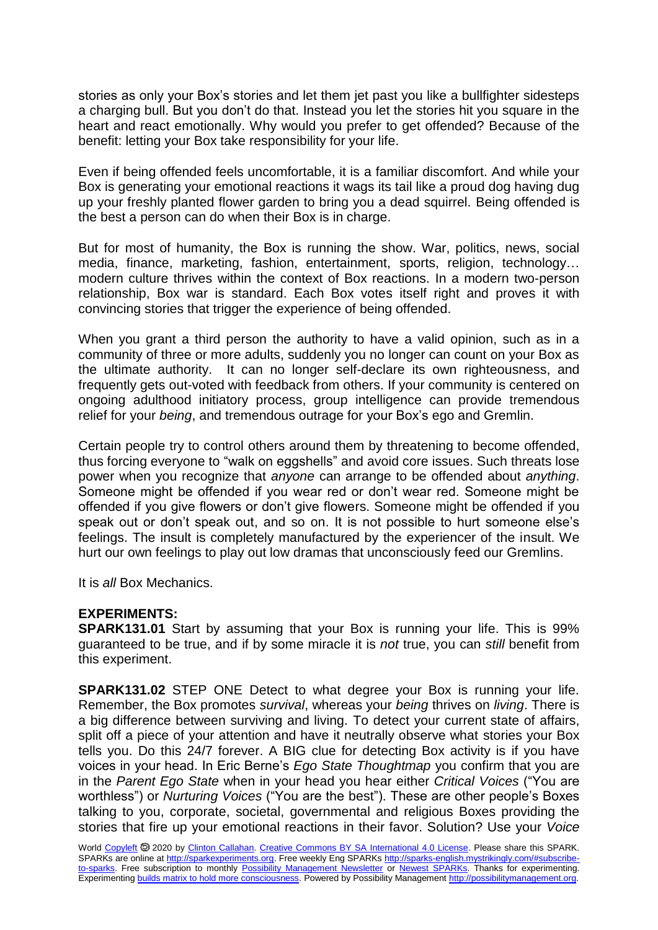stories as only your Box's stories and let them jet past you like a bullfighter sidesteps a charging bull. But you don't do that. Instead you let the stories hit you square in the heart and react emotionally. Why would you prefer to get offended? Because of the benefit: letting your Box take responsibility for your life.

Even if being offended feels uncomfortable, it is a familiar discomfort. And while your Box is generating your emotional reactions it wags its tail like a proud dog having dug up your freshly planted flower garden to bring you a dead squirrel. Being offended is the best a person can do when their Box is in charge.

But for most of humanity, the Box is running the show. War, politics, news, social media, finance, marketing, fashion, entertainment, sports, religion, technology… modern culture thrives within the context of Box reactions. In a modern two-person relationship, Box war is standard. Each Box votes itself right and proves it with convincing stories that trigger the experience of being offended.

When you grant a third person the authority to have a valid opinion, such as in a community of three or more adults, suddenly you no longer can count on your Box as the ultimate authority. It can no longer self-declare its own righteousness, and frequently gets out-voted with feedback from others. If your community is centered on ongoing adulthood initiatory process, group intelligence can provide tremendous relief for your *being*, and tremendous outrage for your Box's ego and Gremlin.

Certain people try to control others around them by threatening to become offended, thus forcing everyone to "walk on eggshells" and avoid core issues. Such threats lose power when you recognize that *anyone* can arrange to be offended about *anything*. Someone might be offended if you wear red or don't wear red. Someone might be offended if you give flowers or don't give flowers. Someone might be offended if you speak out or don't speak out, and so on. It is not possible to hurt someone else's feelings. The insult is completely manufactured by the experiencer of the insult. We hurt our own feelings to play out low dramas that unconsciously feed our Gremlins.

It is *all* Box Mechanics.

## **EXPERIMENTS:**

**SPARK131.01** Start by assuming that your Box is running your life. This is 99% guaranteed to be true, and if by some miracle it is *not* true, you can *still* benefit from this experiment.

**SPARK131.02** STEP ONE Detect to what degree your Box is running your life. Remember, the Box promotes *survival*, whereas your *being* thrives on *living*. There is a big difference between surviving and living. To detect your current state of affairs, split off a piece of your attention and have it neutrally observe what stories your Box tells you. Do this 24/7 forever. A BIG clue for detecting Box activity is if you have voices in your head. In Eric Berne's *Ego State Thoughtmap* you confirm that you are in the *Parent Ego State* when in your head you hear either *Critical Voices* ("You are worthless") or *Nurturing Voices* ("You are the best"). These are other people's Boxes talking to you, corporate, societal, governmental and religious Boxes providing the stories that fire up your emotional reactions in their favor. Solution? Use your *Voice*